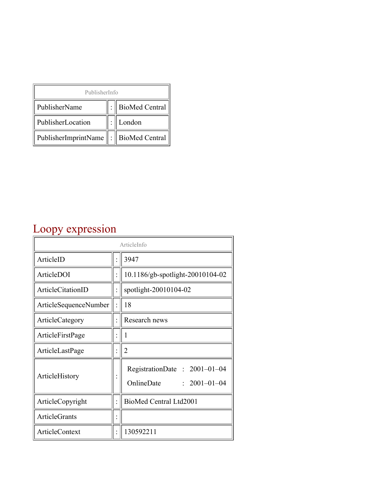| PublisherInfo                                   |  |                    |  |  |
|-------------------------------------------------|--|--------------------|--|--|
| PublisherName                                   |  | :   BioMed Central |  |  |
| PublisherLocation                               |  | London             |  |  |
| PublisherImprintName $\ \cdot\ $ BioMed Central |  |                    |  |  |

## Loopy expression

| ArticleInfo           |  |                                                                  |
|-----------------------|--|------------------------------------------------------------------|
| ArticleID             |  | 3947                                                             |
| ArticleDOI            |  | 10.1186/gb-spotlight-20010104-02                                 |
| ArticleCitationID     |  | spotlight-20010104-02                                            |
| ArticleSequenceNumber |  | 18                                                               |
| ArticleCategory       |  | Research news                                                    |
| ArticleFirstPage      |  | 1                                                                |
| ArticleLastPage       |  | $\overline{2}$                                                   |
| ArticleHistory        |  | RegistrationDate: 2001-01-04<br>OnlineDate<br>$: 2001 - 01 - 04$ |
| ArticleCopyright      |  | BioMed Central Ltd2001                                           |
| <b>ArticleGrants</b>  |  |                                                                  |
| <b>ArticleContext</b> |  | 130592211                                                        |